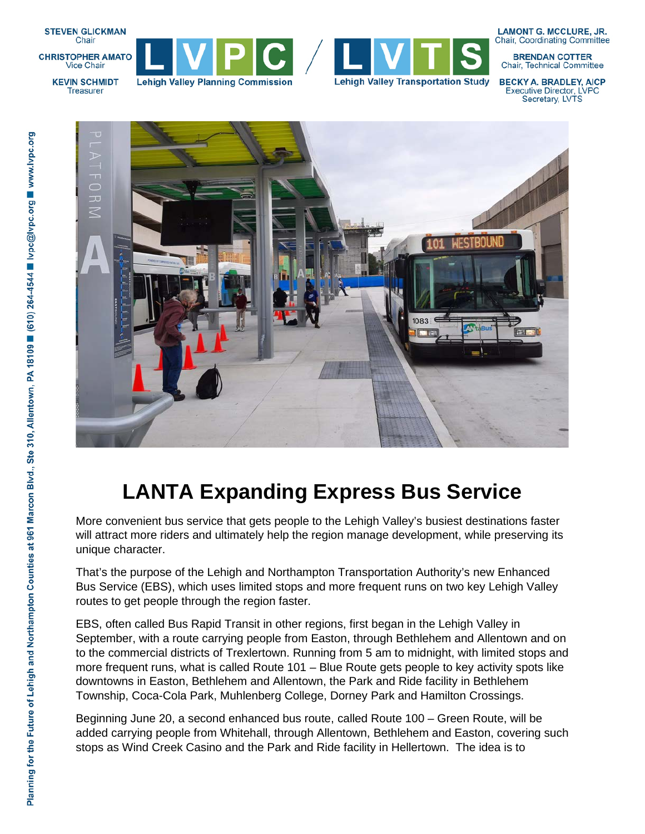

**KEVIN SCHMIDT** 

**Treasurer** 





**LAMONT G. MCCLURE, JR. Chair, Coordinating Committee** 

**BRENDAN COTTER** Chair, Technical Committee

**BECKY A. BRADLEY, AICP Executive Director, LVPC** Secretary, LVTS

 $\frac{1}{\sqrt{2}}$ ココフ  $108.3$ 

## **LANTA Expanding Express Bus Service**

More convenient bus service that gets people to the Lehigh Valley's busiest destinations faster will attract more riders and ultimately help the region manage development, while preserving its unique character.

That's the purpose of the Lehigh and Northampton Transportation Authority's new Enhanced Bus Service (EBS), which uses limited stops and more frequent runs on two key Lehigh Valley routes to get people through the region faster.

EBS, often called Bus Rapid Transit in other regions, first began in the Lehigh Valley in September, with a route carrying people from Easton, through Bethlehem and Allentown and on to the commercial districts of Trexlertown. Running from 5 am to midnight, with limited stops and more frequent runs, what is called Route 101 – Blue Route gets people to key activity spots like downtowns in Easton, Bethlehem and Allentown, the Park and Ride facility in Bethlehem Township, Coca-Cola Park, Muhlenberg College, Dorney Park and Hamilton Crossings.

Beginning June 20, a second enhanced bus route, called Route 100 – Green Route, will be added carrying people from Whitehall, through Allentown, Bethlehem and Easton, covering such stops as Wind Creek Casino and the Park and Ride facility in Hellertown. The idea is to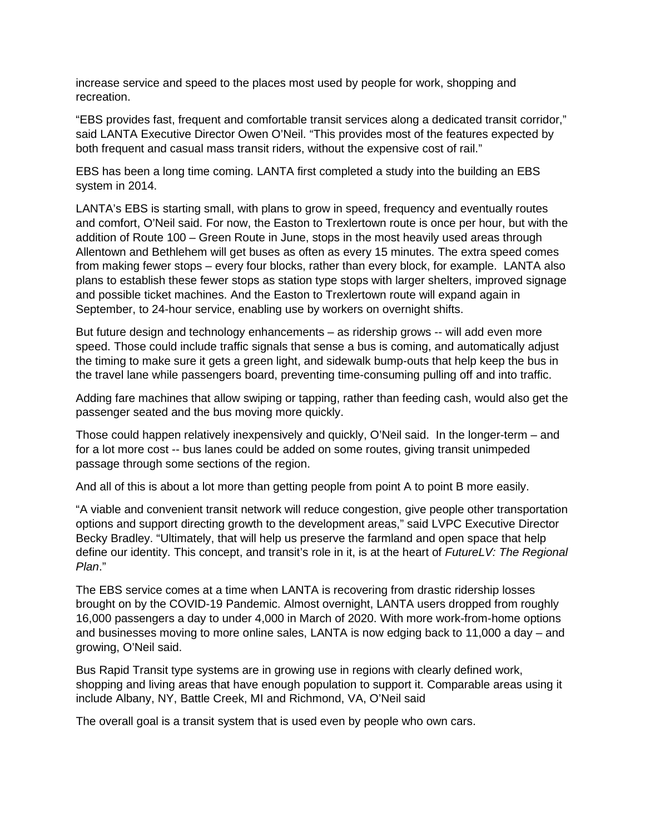increase service and speed to the places most used by people for work, shopping and recreation.

"EBS provides fast, frequent and comfortable transit services along a dedicated transit corridor," said LANTA Executive Director Owen O'Neil. "This provides most of the features expected by both frequent and casual mass transit riders, without the expensive cost of rail."

EBS has been a long time coming. LANTA first completed a study into the building an EBS system in 2014.

LANTA's EBS is starting small, with plans to grow in speed, frequency and eventually routes and comfort, O'Neil said. For now, the Easton to Trexlertown route is once per hour, but with the addition of Route 100 – Green Route in June, stops in the most heavily used areas through Allentown and Bethlehem will get buses as often as every 15 minutes. The extra speed comes from making fewer stops – every four blocks, rather than every block, for example. LANTA also plans to establish these fewer stops as station type stops with larger shelters, improved signage and possible ticket machines. And the Easton to Trexlertown route will expand again in September, to 24-hour service, enabling use by workers on overnight shifts.

But future design and technology enhancements – as ridership grows -- will add even more speed. Those could include traffic signals that sense a bus is coming, and automatically adjust the timing to make sure it gets a green light, and sidewalk bump-outs that help keep the bus in the travel lane while passengers board, preventing time-consuming pulling off and into traffic.

Adding fare machines that allow swiping or tapping, rather than feeding cash, would also get the passenger seated and the bus moving more quickly.

Those could happen relatively inexpensively and quickly, O'Neil said. In the longer-term – and for a lot more cost -- bus lanes could be added on some routes, giving transit unimpeded passage through some sections of the region.

And all of this is about a lot more than getting people from point A to point B more easily.

"A viable and convenient transit network will reduce congestion, give people other transportation options and support directing growth to the development areas," said LVPC Executive Director Becky Bradley. "Ultimately, that will help us preserve the farmland and open space that help define our identity. This concept, and transit's role in it, is at the heart of *FutureLV: The Regional Plan*."

The EBS service comes at a time when LANTA is recovering from drastic ridership losses brought on by the COVID-19 Pandemic. Almost overnight, LANTA users dropped from roughly 16,000 passengers a day to under 4,000 in March of 2020. With more work-from-home options and businesses moving to more online sales, LANTA is now edging back to 11,000 a day – and growing, O'Neil said.

Bus Rapid Transit type systems are in growing use in regions with clearly defined work, shopping and living areas that have enough population to support it. Comparable areas using it include Albany, NY, Battle Creek, MI and Richmond, VA, O'Neil said

The overall goal is a transit system that is used even by people who own cars.